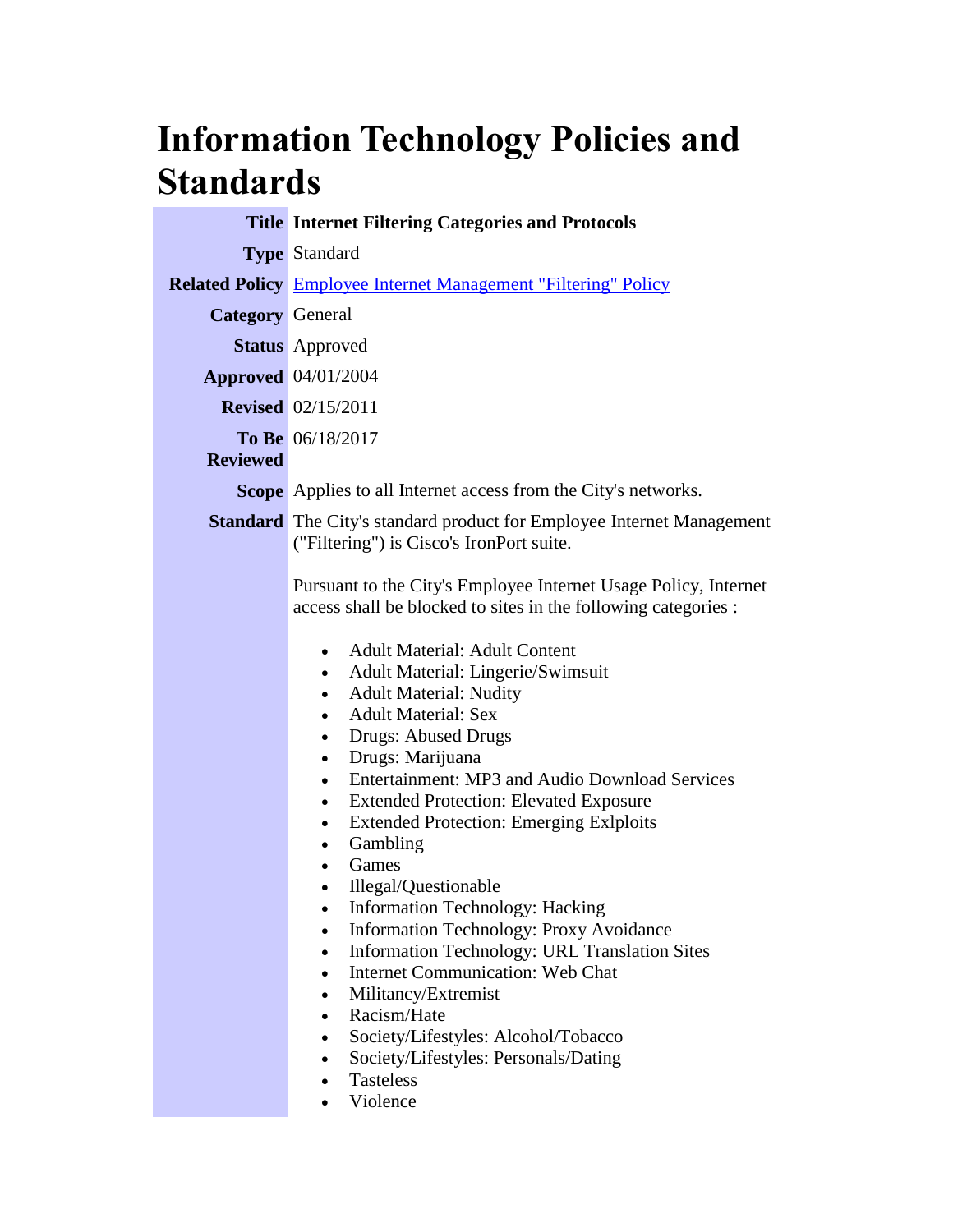## **Information Technology Policies and Standards**

|                         | <b>Title Internet Filtering Categories and Protocols</b>                                                                                                                                                                                                                                                                                                                                                                                                                                                                                                                                                                                                                                                                                                                                                                                                                                                                                                                                                                                                                                                          |
|-------------------------|-------------------------------------------------------------------------------------------------------------------------------------------------------------------------------------------------------------------------------------------------------------------------------------------------------------------------------------------------------------------------------------------------------------------------------------------------------------------------------------------------------------------------------------------------------------------------------------------------------------------------------------------------------------------------------------------------------------------------------------------------------------------------------------------------------------------------------------------------------------------------------------------------------------------------------------------------------------------------------------------------------------------------------------------------------------------------------------------------------------------|
|                         | <b>Type Standard</b>                                                                                                                                                                                                                                                                                                                                                                                                                                                                                                                                                                                                                                                                                                                                                                                                                                                                                                                                                                                                                                                                                              |
|                         | <b>Related Policy</b> Employee Internet Management "Filtering" Policy                                                                                                                                                                                                                                                                                                                                                                                                                                                                                                                                                                                                                                                                                                                                                                                                                                                                                                                                                                                                                                             |
| <b>Category</b> General |                                                                                                                                                                                                                                                                                                                                                                                                                                                                                                                                                                                                                                                                                                                                                                                                                                                                                                                                                                                                                                                                                                                   |
|                         | <b>Status</b> Approved                                                                                                                                                                                                                                                                                                                                                                                                                                                                                                                                                                                                                                                                                                                                                                                                                                                                                                                                                                                                                                                                                            |
|                         | <b>Approved</b> 04/01/2004                                                                                                                                                                                                                                                                                                                                                                                                                                                                                                                                                                                                                                                                                                                                                                                                                                                                                                                                                                                                                                                                                        |
|                         | <b>Revised</b> 02/15/2011                                                                                                                                                                                                                                                                                                                                                                                                                                                                                                                                                                                                                                                                                                                                                                                                                                                                                                                                                                                                                                                                                         |
| <b>Reviewed</b>         | To Be 06/18/2017                                                                                                                                                                                                                                                                                                                                                                                                                                                                                                                                                                                                                                                                                                                                                                                                                                                                                                                                                                                                                                                                                                  |
|                         | <b>Scope</b> Applies to all Internet access from the City's networks.                                                                                                                                                                                                                                                                                                                                                                                                                                                                                                                                                                                                                                                                                                                                                                                                                                                                                                                                                                                                                                             |
|                         | <b>Standard</b> The City's standard product for Employee Internet Management<br>("Filtering") is Cisco's IronPort suite.                                                                                                                                                                                                                                                                                                                                                                                                                                                                                                                                                                                                                                                                                                                                                                                                                                                                                                                                                                                          |
|                         | Pursuant to the City's Employee Internet Usage Policy, Internet<br>access shall be blocked to sites in the following categories :<br><b>Adult Material: Adult Content</b><br>$\bullet$<br><b>Adult Material: Lingerie/Swimsuit</b><br>$\bullet$<br><b>Adult Material: Nudity</b><br>$\bullet$<br><b>Adult Material: Sex</b><br>$\bullet$<br><b>Drugs: Abused Drugs</b><br>$\bullet$<br>Drugs: Marijuana<br>$\bullet$<br>Entertainment: MP3 and Audio Download Services<br>$\bullet$<br><b>Extended Protection: Elevated Exposure</b><br>$\bullet$<br><b>Extended Protection: Emerging Exlploits</b><br>$\bullet$<br>Gambling<br>$\bullet$<br>Games<br>$\bullet$<br>Illegal/Questionable<br>Information Technology: Hacking<br>Information Technology: Proxy Avoidance<br>$\bullet$<br>Information Technology: URL Translation Sites<br>$\bullet$<br><b>Internet Communication: Web Chat</b><br>$\bullet$<br>Militancy/Extremist<br>$\bullet$<br>Racism/Hate<br>$\bullet$<br>Society/Lifestyles: Alcohol/Tobacco<br>$\bullet$<br>Society/Lifestyles: Personals/Dating<br><b>Tasteless</b><br>$\bullet$<br>Violence |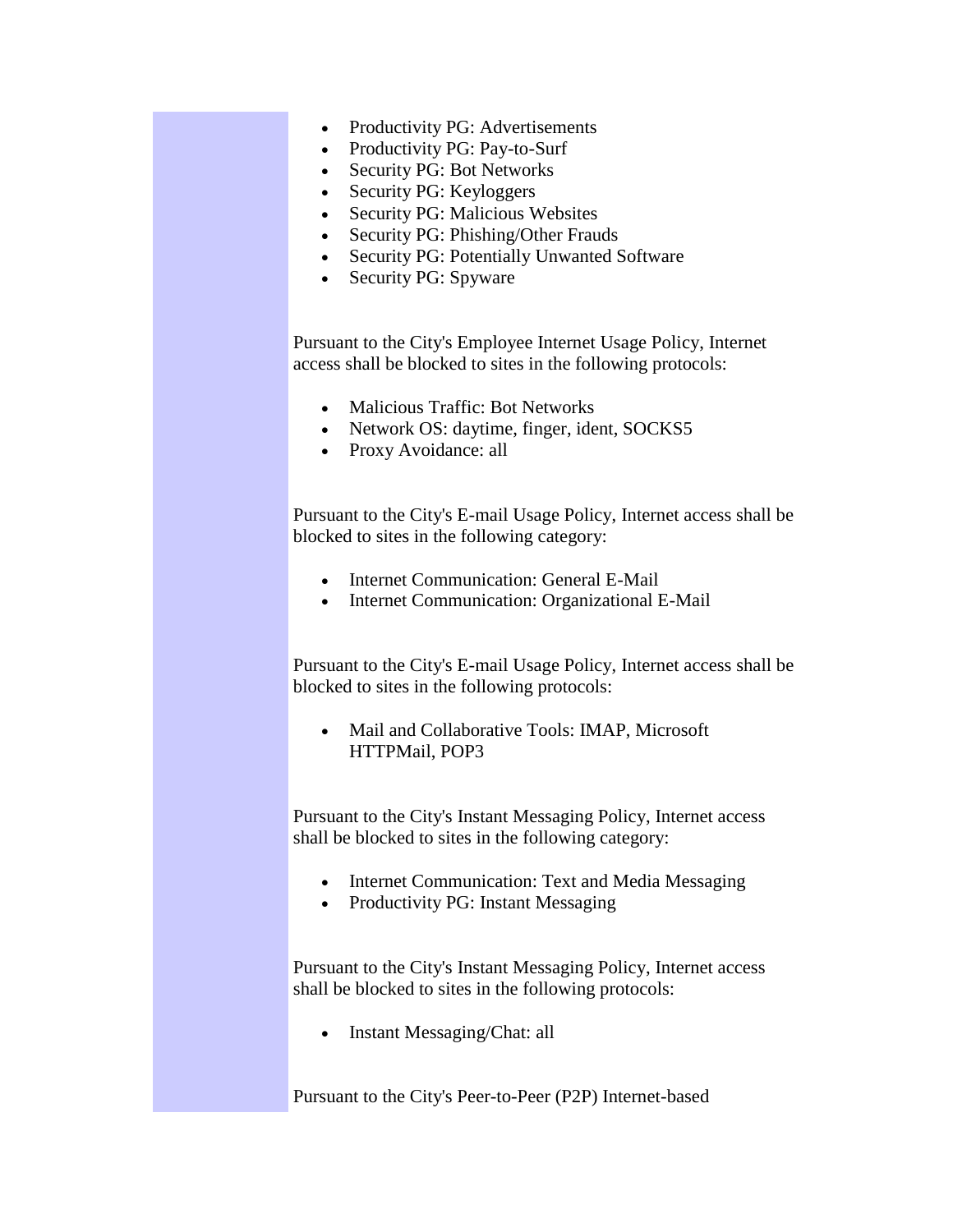- Productivity PG: Advertisements
- Productivity PG: Pay-to-Surf
- Security PG: Bot Networks
- Security PG: Keyloggers
- Security PG: Malicious Websites
- Security PG: Phishing/Other Frauds
- Security PG: Potentially Unwanted Software
- Security PG: Spyware

Pursuant to the City's Employee Internet Usage Policy, Internet access shall be blocked to sites in the following protocols:

- Malicious Traffic: Bot Networks
- Network OS: daytime, finger, ident, SOCKS5
- Proxy Avoidance: all

Pursuant to the City's E-mail Usage Policy, Internet access shall be blocked to sites in the following category:

- Internet Communication: General E-Mail
- Internet Communication: Organizational E-Mail

Pursuant to the City's E-mail Usage Policy, Internet access shall be blocked to sites in the following protocols:

 Mail and Collaborative Tools: IMAP, Microsoft HTTPMail, POP3

Pursuant to the City's Instant Messaging Policy, Internet access shall be blocked to sites in the following category:

- Internet Communication: Text and Media Messaging
- Productivity PG: Instant Messaging

Pursuant to the City's Instant Messaging Policy, Internet access shall be blocked to sites in the following protocols:

• Instant Messaging/Chat: all

Pursuant to the City's Peer-to-Peer (P2P) Internet-based